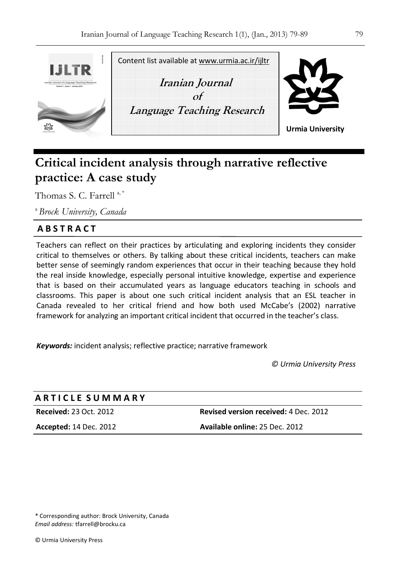

# **Critical incident analysis through narrative reflective practice: A case study**

Thomas S. C. Farrell  $a, *$ 

<sup>a</sup>*Brock University, Canada*

# **A B S T R A C T**

Teachers can reflect on their practices by articulating and exploring incidents they consider critical to themselves or others. By talking about these critical incidents, teachers can make better sense of seemingly random experiences that occur in their teaching because they hold the real inside knowledge, especially personal intuitive knowledge, expertise and experience that is based on their accumulated years as language educators teaching in schools and classrooms. This paper is about one such critical incident analysis that an ESL teacher in Canada revealed to her critical friend and how both used McCabe's (2002) narrative framework for analyzing an important critical incident that occurred in the teacher's class.

*Keywords:* incident analysis; reflective practice; narrative framework

*© Urmia University Press* 

| <b>ARTICLE SUMMARY</b>        |                                              |
|-------------------------------|----------------------------------------------|
| <b>Received: 23 Oct. 2012</b> | <b>Revised version received: 4 Dec. 2012</b> |
| <b>Accepted: 14 Dec. 2012</b> | Available online: 25 Dec. 2012               |
|                               |                                              |

\* Corresponding author: Brock University, Canada *Email address:* tfarrell@brocku.ca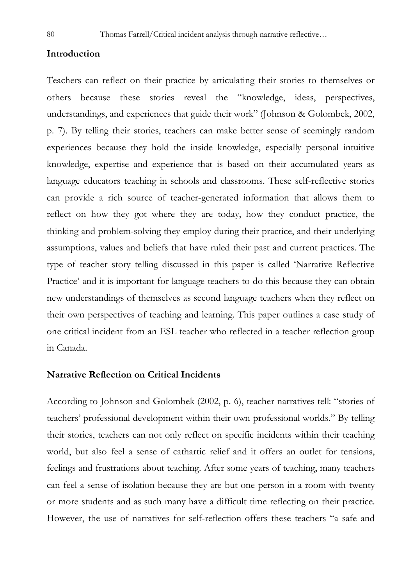# **Introduction**

Teachers can reflect on their practice by articulating their stories to themselves or others because these stories reveal the "knowledge, ideas, perspectives, understandings, and experiences that guide their work" (Johnson & Golombek, 2002, p. 7). By telling their stories, teachers can make better sense of seemingly random experiences because they hold the inside knowledge, especially personal intuitive knowledge, expertise and experience that is based on their accumulated years as language educators teaching in schools and classrooms. These self-reflective stories can provide a rich source of teacher-generated information that allows them to reflect on how they got where they are today, how they conduct practice, the thinking and problem-solving they employ during their practice, and their underlying assumptions, values and beliefs that have ruled their past and current practices. The type of teacher story telling discussed in this paper is called 'Narrative Reflective Practice' and it is important for language teachers to do this because they can obtain new understandings of themselves as second language teachers when they reflect on their own perspectives of teaching and learning. This paper outlines a case study of one critical incident from an ESL teacher who reflected in a teacher reflection group in Canada.

# **Narrative Reflection on Critical Incidents**

According to Johnson and Golombek (2002, p. 6), teacher narratives tell: "stories of teachers' professional development within their own professional worlds." By telling their stories, teachers can not only reflect on specific incidents within their teaching world, but also feel a sense of cathartic relief and it offers an outlet for tensions, feelings and frustrations about teaching. After some years of teaching, many teachers can feel a sense of isolation because they are but one person in a room with twenty or more students and as such many have a difficult time reflecting on their practice. However, the use of narratives for self-reflection offers these teachers "a safe and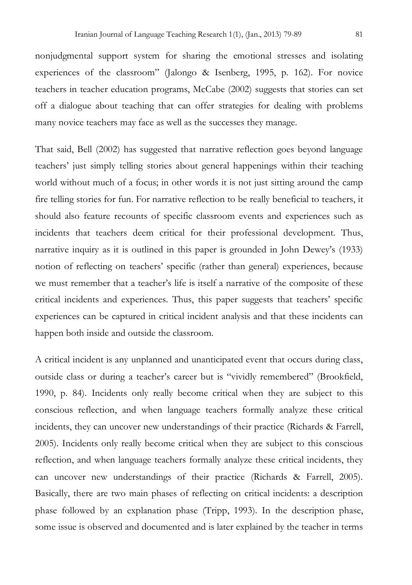nonjudgmental support system for sharing the emotional stresses and isolating experiences of the classroom" (Jalongo & Isenberg, 1995, p. 162). For novice teachers in teacher education programs, McCabe (2002) suggests that stories can set off a dialogue about teaching that can offer strategies for dealing with problems many novice teachers may face as well as the successes they manage.

That said, Bell (2002) has suggested that narrative reflection goes beyond language teachers' just simply telling stories about general happenings within their teaching world without much of a focus; in other words it is not just sitting around the camp fire telling stories for fun. For narrative reflection to be really beneficial to teachers, it should also feature recounts of specific classroom events and experiences such as incidents that teachers deem critical for their professional development. Thus, narrative inquiry as it is outlined in this paper is grounded in John Dewey's (1933) notion of reflecting on teachers' specific (rather than general) experiences, because we must remember that a teacher's life is itself a narrative of the composite of these critical incidents and experiences. Thus, this paper suggests that teachers' specific experiences can be captured in critical incident analysis and that these incidents can happen both inside and outside the classroom.

A critical incident is any unplanned and unanticipated event that occurs during class, outside class or during a teacher's career but is "vividly remembered" (Brookfield, 1990, p. 84). Incidents only really become critical when they are subject to this conscious reflection, and when language teachers formally analyze these critical incidents, they can uncover new understandings of their practice (Richards & Farrell, 2005). Incidents only really become critical when they are subject to this conscious reflection, and when language teachers formally analyze these critical incidents, they can uncover new understandings of their practice (Richards & Farrell, 2005). Basically, there are two main phases of reflecting on critical incidents: a description phase followed by an explanation phase (Tripp, 1993). In the description phase, some issue is observed and documented and is later explained by the teacher in terms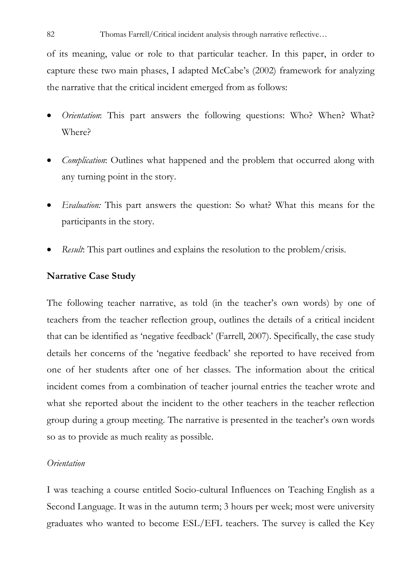of its meaning, value or role to that particular teacher. In this paper, in order to capture these two main phases, I adapted McCabe's (2002) framework for analyzing the narrative that the critical incident emerged from as follows:

- *Orientation*: This part answers the following questions: Who? When? What? Where?
- *Complication*: Outlines what happened and the problem that occurred along with any turning point in the story.
- *Evaluation:* This part answers the question: So what? What this means for the participants in the story.
- *Result*: This part outlines and explains the resolution to the problem/crisis.

# **Narrative Case Study**

The following teacher narrative, as told (in the teacher's own words) by one of teachers from the teacher reflection group, outlines the details of a critical incident that can be identified as 'negative feedback' (Farrell, 2007). Specifically, the case study details her concerns of the 'negative feedback' she reported to have received from one of her students after one of her classes. The information about the critical incident comes from a combination of teacher journal entries the teacher wrote and what she reported about the incident to the other teachers in the teacher reflection group during a group meeting. The narrative is presented in the teacher's own words so as to provide as much reality as possible.

# *Orientation*

I was teaching a course entitled Socio-cultural Influences on Teaching English as a Second Language. It was in the autumn term; 3 hours per week; most were university graduates who wanted to become ESL/EFL teachers. The survey is called the Key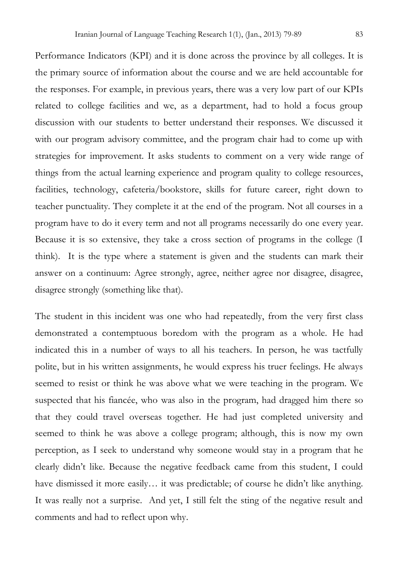Performance Indicators (KPI) and it is done across the province by all colleges. It is the primary source of information about the course and we are held accountable for the responses. For example, in previous years, there was a very low part of our KPIs related to college facilities and we, as a department, had to hold a focus group discussion with our students to better understand their responses. We discussed it with our program advisory committee, and the program chair had to come up with strategies for improvement. It asks students to comment on a very wide range of things from the actual learning experience and program quality to college resources, facilities, technology, cafeteria/bookstore, skills for future career, right down to teacher punctuality. They complete it at the end of the program. Not all courses in a program have to do it every term and not all programs necessarily do one every year. Because it is so extensive, they take a cross section of programs in the college (I think). It is the type where a statement is given and the students can mark their answer on a continuum: Agree strongly, agree, neither agree nor disagree, disagree, disagree strongly (something like that).

The student in this incident was one who had repeatedly, from the very first class demonstrated a contemptuous boredom with the program as a whole. He had indicated this in a number of ways to all his teachers. In person, he was tactfully polite, but in his written assignments, he would express his truer feelings. He always seemed to resist or think he was above what we were teaching in the program. We suspected that his fiancée, who was also in the program, had dragged him there so that they could travel overseas together. He had just completed university and seemed to think he was above a college program; although, this is now my own perception, as I seek to understand why someone would stay in a program that he clearly didn't like. Because the negative feedback came from this student, I could have dismissed it more easily… it was predictable; of course he didn't like anything. It was really not a surprise. And yet, I still felt the sting of the negative result and comments and had to reflect upon why.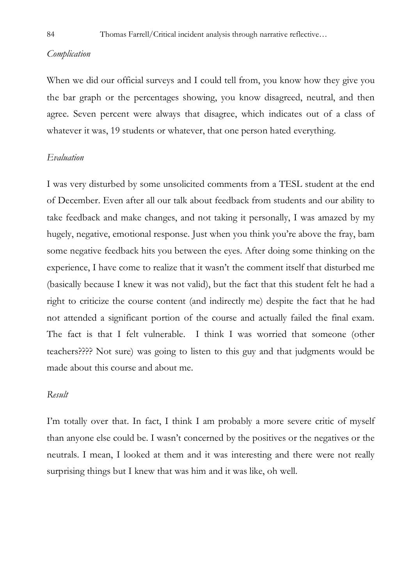# *Complication*

When we did our official surveys and I could tell from, you know how they give you the bar graph or the percentages showing, you know disagreed, neutral, and then agree. Seven percent were always that disagree, which indicates out of a class of whatever it was, 19 students or whatever, that one person hated everything.

#### *Evaluation*

I was very disturbed by some unsolicited comments from a TESL student at the end of December. Even after all our talk about feedback from students and our ability to take feedback and make changes, and not taking it personally, I was amazed by my hugely, negative, emotional response. Just when you think you're above the fray, bam some negative feedback hits you between the eyes. After doing some thinking on the experience, I have come to realize that it wasn't the comment itself that disturbed me (basically because I knew it was not valid), but the fact that this student felt he had a right to criticize the course content (and indirectly me) despite the fact that he had not attended a significant portion of the course and actually failed the final exam. The fact is that I felt vulnerable. I think I was worried that someone (other teachers???? Not sure) was going to listen to this guy and that judgments would be made about this course and about me.

# *Result*

I'm totally over that. In fact, I think I am probably a more severe critic of myself than anyone else could be. I wasn't concerned by the positives or the negatives or the neutrals. I mean, I looked at them and it was interesting and there were not really surprising things but I knew that was him and it was like, oh well.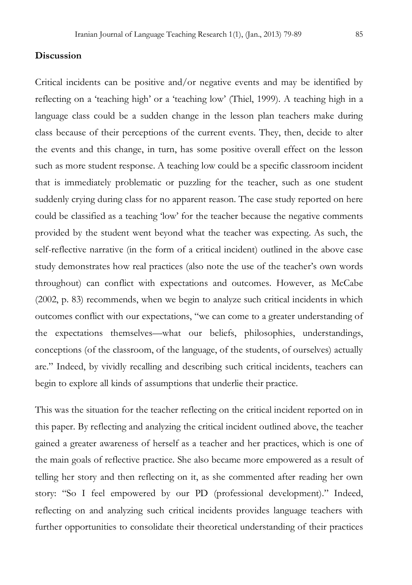#### **Discussion**

Critical incidents can be positive and/or negative events and may be identified by reflecting on a 'teaching high' or a 'teaching low' (Thiel, 1999). A teaching high in a language class could be a sudden change in the lesson plan teachers make during class because of their perceptions of the current events. They, then, decide to alter the events and this change, in turn, has some positive overall effect on the lesson such as more student response. A teaching low could be a specific classroom incident that is immediately problematic or puzzling for the teacher, such as one student suddenly crying during class for no apparent reason. The case study reported on here could be classified as a teaching 'low' for the teacher because the negative comments provided by the student went beyond what the teacher was expecting. As such, the self-reflective narrative (in the form of a critical incident) outlined in the above case study demonstrates how real practices (also note the use of the teacher's own words throughout) can conflict with expectations and outcomes. However, as McCabe (2002, p. 83) recommends, when we begin to analyze such critical incidents in which outcomes conflict with our expectations, "we can come to a greater understanding of the expectations themselves—what our beliefs, philosophies, understandings, conceptions (of the classroom, of the language, of the students, of ourselves) actually are." Indeed, by vividly recalling and describing such critical incidents, teachers can begin to explore all kinds of assumptions that underlie their practice.

This was the situation for the teacher reflecting on the critical incident reported on in this paper. By reflecting and analyzing the critical incident outlined above, the teacher gained a greater awareness of herself as a teacher and her practices, which is one of the main goals of reflective practice. She also became more empowered as a result of telling her story and then reflecting on it, as she commented after reading her own story: "So I feel empowered by our PD (professional development)." Indeed, reflecting on and analyzing such critical incidents provides language teachers with further opportunities to consolidate their theoretical understanding of their practices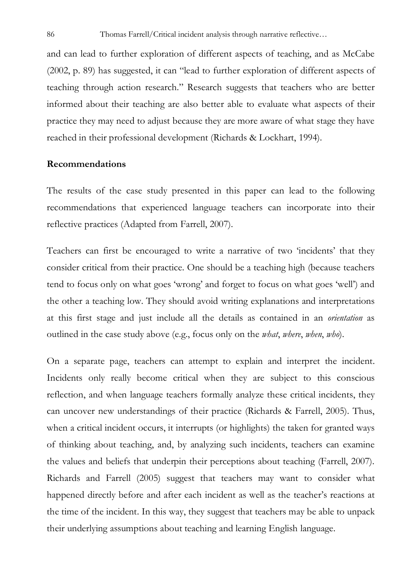and can lead to further exploration of different aspects of teaching, and as McCabe (2002, p. 89) has suggested, it can "lead to further exploration of different aspects of teaching through action research." Research suggests that teachers who are better informed about their teaching are also better able to evaluate what aspects of their practice they may need to adjust because they are more aware of what stage they have reached in their professional development (Richards & Lockhart, 1994).

# **Recommendations**

The results of the case study presented in this paper can lead to the following recommendations that experienced language teachers can incorporate into their reflective practices (Adapted from Farrell, 2007).

Teachers can first be encouraged to write a narrative of two 'incidents' that they consider critical from their practice. One should be a teaching high (because teachers tend to focus only on what goes 'wrong' and forget to focus on what goes 'well') and the other a teaching low. They should avoid writing explanations and interpretations at this first stage and just include all the details as contained in an *orientation* as outlined in the case study above (e.g., focus only on the *what*, *where*, *when*, *who*).

On a separate page, teachers can attempt to explain and interpret the incident. Incidents only really become critical when they are subject to this conscious reflection, and when language teachers formally analyze these critical incidents, they can uncover new understandings of their practice (Richards & Farrell, 2005). Thus, when a critical incident occurs, it interrupts (or highlights) the taken for granted ways of thinking about teaching, and, by analyzing such incidents, teachers can examine the values and beliefs that underpin their perceptions about teaching (Farrell, 2007). Richards and Farrell (2005) suggest that teachers may want to consider what happened directly before and after each incident as well as the teacher's reactions at the time of the incident. In this way, they suggest that teachers may be able to unpack their underlying assumptions about teaching and learning English language.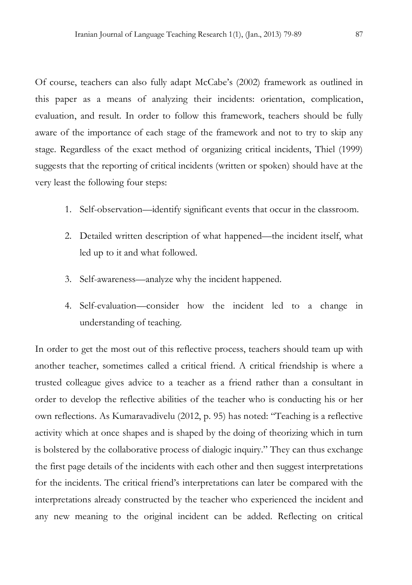Of course, teachers can also fully adapt McCabe's (2002) framework as outlined in this paper as a means of analyzing their incidents: orientation, complication, evaluation, and result. In order to follow this framework, teachers should be fully aware of the importance of each stage of the framework and not to try to skip any stage. Regardless of the exact method of organizing critical incidents, Thiel (1999) suggests that the reporting of critical incidents (written or spoken) should have at the very least the following four steps:

- 1. Self-observation—identify significant events that occur in the classroom.
- 2. Detailed written description of what happened—the incident itself, what led up to it and what followed.
- 3. Self-awareness—analyze why the incident happened.
- 4. Self-evaluation—consider how the incident led to a change in understanding of teaching.

In order to get the most out of this reflective process, teachers should team up with another teacher, sometimes called a critical friend. A critical friendship is where a trusted colleague gives advice to a teacher as a friend rather than a consultant in order to develop the reflective abilities of the teacher who is conducting his or her own reflections. As Kumaravadivelu (2012, p. 95) has noted: "Teaching is a reflective activity which at once shapes and is shaped by the doing of theorizing which in turn is bolstered by the collaborative process of dialogic inquiry." They can thus exchange the first page details of the incidents with each other and then suggest interpretations for the incidents. The critical friend's interpretations can later be compared with the interpretations already constructed by the teacher who experienced the incident and any new meaning to the original incident can be added. Reflecting on critical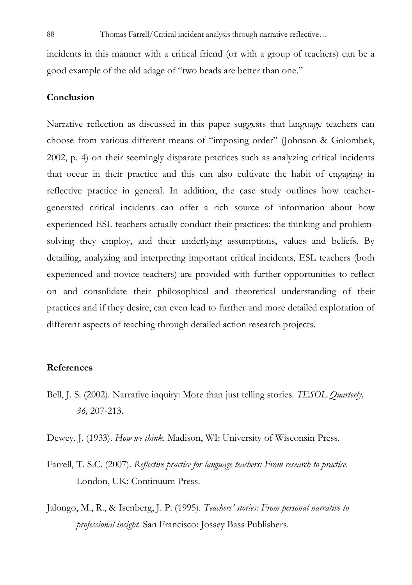incidents in this manner with a critical friend (or with a group of teachers) can be a good example of the old adage of "two heads are better than one."

# **Conclusion**

Narrative reflection as discussed in this paper suggests that language teachers can choose from various different means of "imposing order" (Johnson & Golombek, 2002, p. 4) on their seemingly disparate practices such as analyzing critical incidents that occur in their practice and this can also cultivate the habit of engaging in reflective practice in general. In addition, the case study outlines how teachergenerated critical incidents can offer a rich source of information about how experienced ESL teachers actually conduct their practices: the thinking and problemsolving they employ, and their underlying assumptions, values and beliefs. By detailing, analyzing and interpreting important critical incidents, ESL teachers (both experienced and novice teachers) are provided with further opportunities to reflect on and consolidate their philosophical and theoretical understanding of their practices and if they desire, can even lead to further and more detailed exploration of different aspects of teaching through detailed action research projects.

# **References**

- Bell, J. S. (2002). Narrative inquiry: More than just telling stories. *TESOL Quarterly, 36,* 207-213.
- Dewey, J. (1933). *How we think*. Madison, WI: University of Wisconsin Press.
- Farrell, T. S.C. (2007). *Reflective practice for language teachers: From research to practice*. London, UK: Continuum Press.
- Jalongo, M., R., & Isenberg, J. P. (1995). *Teachers' stories: From personal narrative to professional insight.* San Francisco: Jossey Bass Publishers.